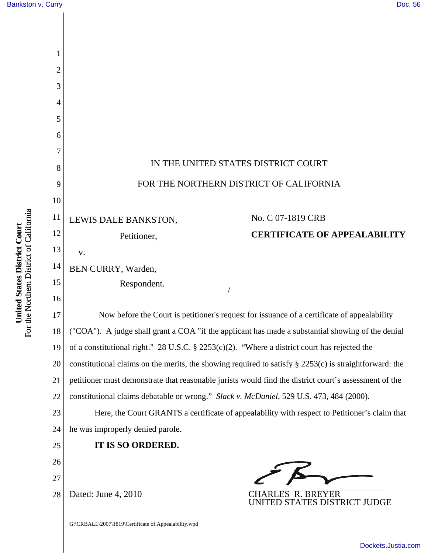| $\overline{c}$ |                                                                                                           |  |  |
|----------------|-----------------------------------------------------------------------------------------------------------|--|--|
| 3              |                                                                                                           |  |  |
| 4              |                                                                                                           |  |  |
| 5              |                                                                                                           |  |  |
| 6              |                                                                                                           |  |  |
| 7              |                                                                                                           |  |  |
| 8              | IN THE UNITED STATES DISTRICT COURT                                                                       |  |  |
| 9              | FOR THE NORTHERN DISTRICT OF CALIFORNIA                                                                   |  |  |
| 10             |                                                                                                           |  |  |
| 11             | No. C 07-1819 CRB<br>LEWIS DALE BANKSTON,                                                                 |  |  |
| 12             | <b>CERTIFICATE OF APPEALABILITY</b><br>Petitioner,                                                        |  |  |
| 13             | V.                                                                                                        |  |  |
| 14             | BEN CURRY, Warden,                                                                                        |  |  |
| 15             | Respondent.                                                                                               |  |  |
| 16             |                                                                                                           |  |  |
| 17             | Now before the Court is petitioner's request for issuance of a certificate of appealability               |  |  |
| 18             | ("COA"). A judge shall grant a COA "if the applicant has made a substantial showing of the denial         |  |  |
| 19             | of a constitutional right." 28 U.S.C. § 2253(c)(2). "Where a district court has rejected the              |  |  |
| 20             | constitutional claims on the merits, the showing required to satisfy $\S$ 2253(c) is straightforward: the |  |  |
| 21             | petitioner must demonstrate that reasonable jurists would find the district court's assessment of the     |  |  |
| 22             | constitutional claims debatable or wrong." Slack v. McDaniel, 529 U.S. 473, 484 (2000).                   |  |  |
| 23             | Here, the Court GRANTS a certificate of appealability with respect to Petitioner's claim that             |  |  |
| 24             | he was improperly denied parole.                                                                          |  |  |
| 25             | IT IS SO ORDERED.                                                                                         |  |  |
| 26             |                                                                                                           |  |  |
| 27             | ╱ △                                                                                                       |  |  |
| 28             | Dated: June 4, 2010<br><b>CHARLES R. BREYER</b><br>UNITED STATES DISTRICT JUDGE                           |  |  |
|                | G:\CRBALL\2007\1819\Certificate of Appealability.wpd                                                      |  |  |

[Dockets.Justia.com](http://dockets.justia.com/)